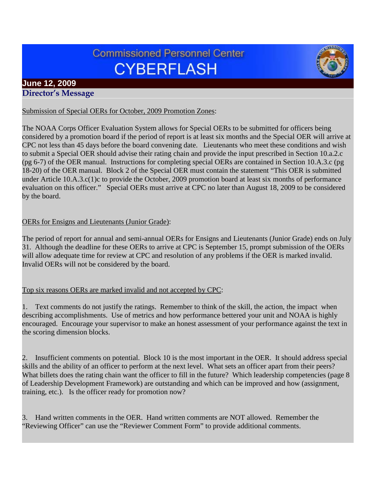# **Commissioned Personnel Center CYBERFLASH**



## **June 12, 2009 Director's Message**

## Submission of Special OERs for October, 2009 Promotion Zones:

The NOAA Corps Officer Evaluation System allows for Special OERs to be submitted for officers being considered by a promotion board if the period of report is at least six months and the Special OER will arrive at CPC not less than 45 days before the board convening date. Lieutenants who meet these conditions and wish to submit a Special OER should advise their rating chain and provide the input prescribed in Section 10.a.2.c (pg 6-7) of the OER manual. Instructions for completing special OERs are contained in Section 10.A.3.c (pg 18-20) of the OER manual. Block 2 of the Special OER must contain the statement "This OER is submitted under Article 10.A.3.c(1)c to provide the October, 2009 promotion board at least six months of performance evaluation on this officer." Special OERs must arrive at CPC no later than August 18, 2009 to be considered by the board.

## OERs for Ensigns and Lieutenants (Junior Grade):

The period of report for annual and semi-annual OERs for Ensigns and Lieutenants (Junior Grade) ends on July 31. Although the deadline for these OERs to arrive at CPC is September 15, prompt submission of the OERs will allow adequate time for review at CPC and resolution of any problems if the OER is marked invalid. Invalid OERs will not be considered by the board.

#### Top six reasons OERs are marked invalid and not accepted by CPC:

1. Text comments do not justify the ratings. Remember to think of the skill, the action, the impact when describing accomplishments. Use of metrics and how performance bettered your unit and NOAA is highly encouraged. Encourage your supervisor to make an honest assessment of your performance against the text in the scoring dimension blocks.

2. Insufficient comments on potential. Block 10 is the most important in the OER. It should address special skills and the ability of an officer to perform at the next level. What sets an officer apart from their peers? What billets does the rating chain want the officer to fill in the future? Which leadership competencies (page 8 of Leadership Development Framework) are outstanding and which can be improved and how (assignment, training, etc.). Is the officer ready for promotion now?

3. Hand written comments in the OER. Hand written comments are NOT allowed. Remember the "Reviewing Officer" can use the "Reviewer Comment Form" to provide additional comments.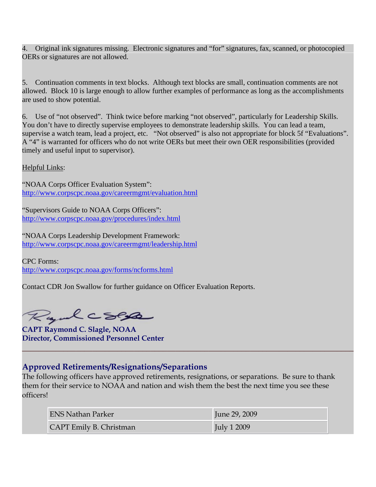4. Original ink signatures missing. Electronic signatures and "for" signatures, fax, scanned, or photocopied OERs or signatures are not allowed.

5. Continuation comments in text blocks. Although text blocks are small, continuation comments are not allowed. Block 10 is large enough to allow further examples of performance as long as the accomplishments are used to show potential.

6. Use of "not observed". Think twice before marking "not observed", particularly for Leadership Skills. You don't have to directly supervise employees to demonstrate leadership skills. You can lead a team, supervise a watch team, lead a project, etc. "Not observed" is also not appropriate for block 5f "Evaluations". A "4" is warranted for officers who do not write OERs but meet their own OER responsibilities (provided timely and useful input to supervisor).

Helpful Links:

"NOAA Corps Officer Evaluation System": <http://www.corpscpc.noaa.gov/careermgmt/evaluation.html>

"Supervisors Guide to NOAA Corps Officers": <http://www.corpscpc.noaa.gov/procedures/index.html>

"NOAA Corps Leadership Development Framework: <http://www.corpscpc.noaa.gov/careermgmt/leadership.html>

CPC Forms: <http://www.corpscpc.noaa.gov/forms/ncforms.html>

Contact CDR Jon Swallow for further guidance on Officer Evaluation Reports.

Ryalcses

**CAPT Raymond C. Slagle, NOAA Director, Commissioned Personnel Center**

## **Approved Retirements/Resignations/Separations**

The following officers have approved retirements, resignations, or separations. Be sure to thank them for their service to NOAA and nation and wish them the best the next time you see these officers!

| ENS Nathan Parker       | June 29, 2009      |
|-------------------------|--------------------|
| CAPT Emily B. Christman | <b>July 1 2009</b> |

**\_\_\_\_\_\_\_\_\_\_\_\_\_\_\_\_\_\_\_\_\_\_\_\_\_\_\_\_\_\_\_\_\_\_\_\_\_\_\_\_\_\_\_\_\_\_\_\_\_\_\_\_\_\_\_\_\_\_\_\_\_\_\_\_\_\_\_\_\_\_\_\_\_\_\_\_\_\_\_\_**